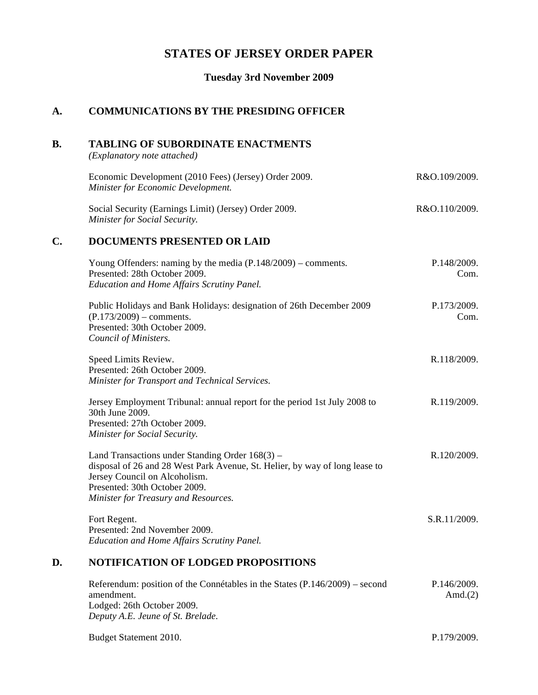# **STATES OF JERSEY ORDER PAPER**

### **Tuesday 3rd November 2009**

## **A. COMMUNICATIONS BY THE PRESIDING OFFICER**

### **B. TABLING OF SUBORDINATE ENACTMENTS**

*(Explanatory note attached)*

| Economic Development (2010 Fees) (Jersey) Order 2009.                                         | R&O.109/2009. |
|-----------------------------------------------------------------------------------------------|---------------|
| <b>Minister for Economic Development.</b>                                                     |               |
| Social Security (Earnings Limit) (Jersey) Order 2009.<br><b>Minister for Social Security.</b> | R&O.110/2009. |
|                                                                                               |               |

## **C. DOCUMENTS PRESENTED OR LAID**

| Young Offenders: naming by the media $(P.148/2009)$ – comments.<br>Presented: 28th October 2009.                                                                                                   | P.148/2009.<br>Com. |
|----------------------------------------------------------------------------------------------------------------------------------------------------------------------------------------------------|---------------------|
| <b>Education and Home Affairs Scrutiny Panel.</b>                                                                                                                                                  |                     |
| Public Holidays and Bank Holidays: designation of 26th December 2009<br>$(P.173/2009)$ – comments.<br>Presented: 30th October 2009.                                                                | P.173/2009.<br>Com. |
| Council of Ministers.                                                                                                                                                                              |                     |
| Speed Limits Review.<br>Presented: 26th October 2009.<br>Minister for Transport and Technical Services.                                                                                            | R.118/2009.         |
|                                                                                                                                                                                                    |                     |
| Jersey Employment Tribunal: annual report for the period 1st July 2008 to<br>30th June 2009.                                                                                                       | R.119/2009.         |
| Presented: 27th October 2009.<br>Minister for Social Security.                                                                                                                                     |                     |
| Land Transactions under Standing Order $168(3)$ –<br>disposal of 26 and 28 West Park Avenue, St. Helier, by way of long lease to<br>Jersey Council on Alcoholism.<br>Presented: 30th October 2009. | R.120/2009.         |
| Minister for Treasury and Resources.                                                                                                                                                               |                     |
|                                                                                                                                                                                                    |                     |
| Fort Regent.                                                                                                                                                                                       | S.R.11/2009.        |
| Presented: 2nd November 2009.<br><b>Education and Home Affairs Scrutiny Panel.</b>                                                                                                                 |                     |
| NOTIFICATION OF LODGED PROPOSITIONS<br>D.                                                                                                                                                          |                     |
| Referendum: position of the Connétables in the States (P.146/2009) – second                                                                                                                        | P.146/2009.         |

| Referendum: position of the Connetables in the States $(P.146/2009)$ – second | P.146/2009. |
|-------------------------------------------------------------------------------|-------------|
| amendment.                                                                    | Amd. $(2)$  |
| Lodged: 26th October 2009.                                                    |             |
| Deputy A.E. Jeune of St. Brelade.                                             |             |
|                                                                               |             |

Budget Statement 2010. P.179/2009.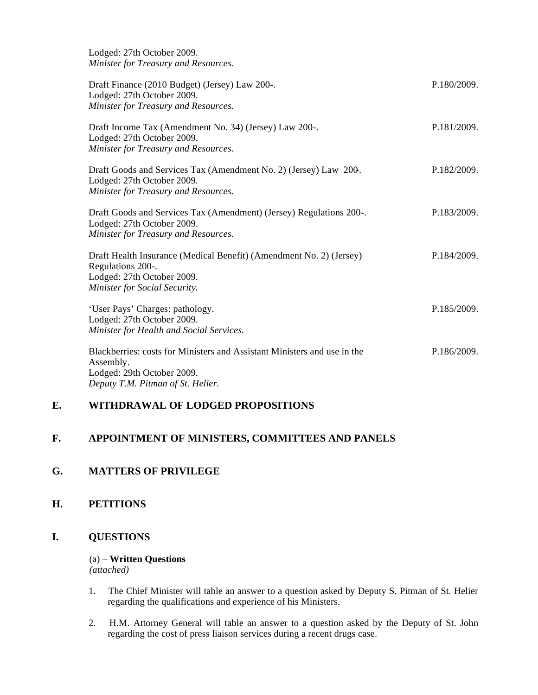Lodged: 27th October 2009. *Minister for Treasury and Resources.*

| Draft Finance (2010 Budget) (Jersey) Law 200-.<br>Lodged: 27th October 2009.<br>Minister for Treasury and Resources.                                     | P.180/2009. |
|----------------------------------------------------------------------------------------------------------------------------------------------------------|-------------|
| Draft Income Tax (Amendment No. 34) (Jersey) Law 200-.<br>Lodged: 27th October 2009.<br>Minister for Treasury and Resources.                             | P.181/2009. |
| Draft Goods and Services Tax (Amendment No. 2) (Jersey) Law 200.<br>Lodged: 27th October 2009.<br>Minister for Treasury and Resources.                   | P.182/2009. |
| Draft Goods and Services Tax (Amendment) (Jersey) Regulations 200-.<br>Lodged: 27th October 2009.<br>Minister for Treasury and Resources.                | P.183/2009. |
| Draft Health Insurance (Medical Benefit) (Amendment No. 2) (Jersey)<br>Regulations 200-.<br>Lodged: 27th October 2009.<br>Minister for Social Security.  | P.184/2009. |
| 'User Pays' Charges: pathology.<br>Lodged: 27th October 2009.<br>Minister for Health and Social Services.                                                | P.185/2009. |
| Blackberries: costs for Ministers and Assistant Ministers and use in the<br>Assembly.<br>Lodged: 29th October 2009.<br>Deputy T.M. Pitman of St. Helier. | P.186/2009. |

### **E. WITHDRAWAL OF LODGED PROPOSITIONS**

## **F. APPOINTMENT OF MINISTERS, COMMITTEES AND PANELS**

#### **G. MATTERS OF PRIVILEGE**

### **H. PETITIONS**

## **I. QUESTIONS**

# (a) – **Written Questions**

*(attached)*

- 1. The Chief Minister will table an answer to a question asked by Deputy S. Pitman of St. Helier regarding the qualifications and experience of his Ministers.
- 2. H.M. Attorney General will table an answer to a question asked by the Deputy of St. John regarding the cost of press liaison services during a recent drugs case.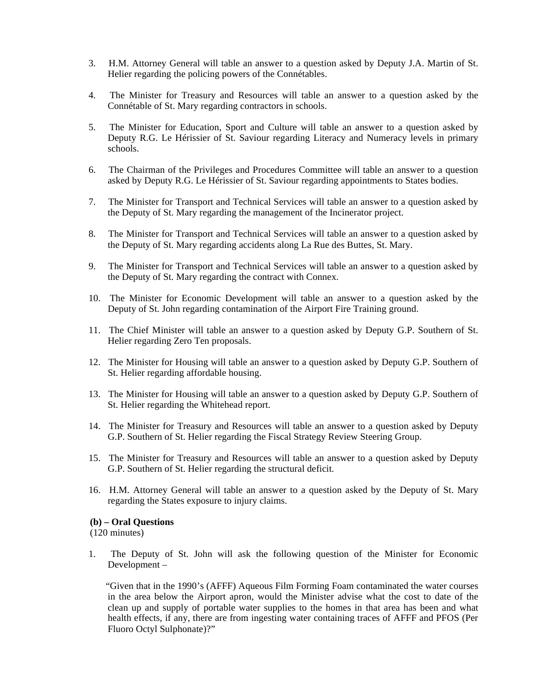- 3. H.M. Attorney General will table an answer to a question asked by Deputy J.A. Martin of St. Helier regarding the policing powers of the Connétables.
- 4. The Minister for Treasury and Resources will table an answer to a question asked by the Connétable of St. Mary regarding contractors in schools.
- 5. The Minister for Education, Sport and Culture will table an answer to a question asked by Deputy R.G. Le Hérissier of St. Saviour regarding Literacy and Numeracy levels in primary schools.
- 6. The Chairman of the Privileges and Procedures Committee will table an answer to a question asked by Deputy R.G. Le Hérissier of St. Saviour regarding appointments to States bodies.
- 7. The Minister for Transport and Technical Services will table an answer to a question asked by the Deputy of St. Mary regarding the management of the Incinerator project.
- 8. The Minister for Transport and Technical Services will table an answer to a question asked by the Deputy of St. Mary regarding accidents along La Rue des Buttes, St. Mary.
- 9. The Minister for Transport and Technical Services will table an answer to a question asked by the Deputy of St. Mary regarding the contract with Connex.
- 10. The Minister for Economic Development will table an answer to a question asked by the Deputy of St. John regarding contamination of the Airport Fire Training ground.
- 11. The Chief Minister will table an answer to a question asked by Deputy G.P. Southern of St. Helier regarding Zero Ten proposals.
- 12. The Minister for Housing will table an answer to a question asked by Deputy G.P. Southern of St. Helier regarding affordable housing.
- 13. The Minister for Housing will table an answer to a question asked by Deputy G.P. Southern of St. Helier regarding the Whitehead report.
- 14. The Minister for Treasury and Resources will table an answer to a question asked by Deputy G.P. Southern of St. Helier regarding the Fiscal Strategy Review Steering Group.
- 15. The Minister for Treasury and Resources will table an answer to a question asked by Deputy G.P. Southern of St. Helier regarding the structural deficit.
- 16. H.M. Attorney General will table an answer to a question asked by the Deputy of St. Mary regarding the States exposure to injury claims.

#### **(b) – Oral Questions**

(120 minutes)

1. The Deputy of St. John will ask the following question of the Minister for Economic Development –

 "Given that in the 1990's (AFFF) Aqueous Film Forming Foam contaminated the water courses in the area below the Airport apron, would the Minister advise what the cost to date of the clean up and supply of portable water supplies to the homes in that area has been and what health effects, if any, there are from ingesting water containing traces of AFFF and PFOS (Per Fluoro Octyl Sulphonate)?"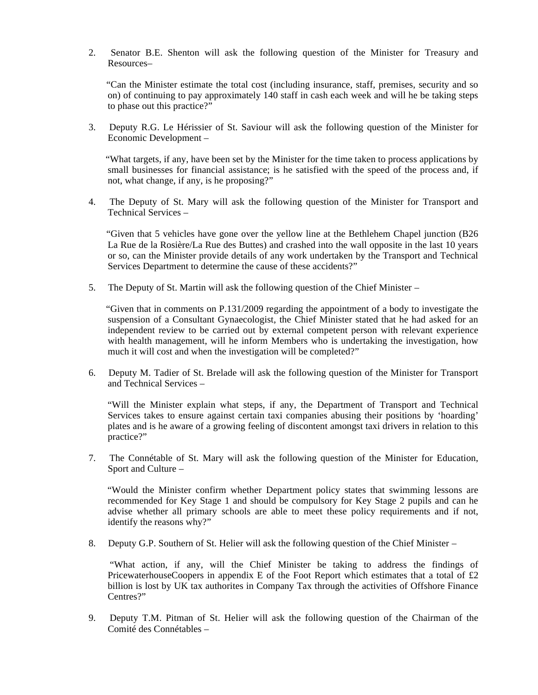2. Senator B.E. Shenton will ask the following question of the Minister for Treasury and Resources–

 "Can the Minister estimate the total cost (including insurance, staff, premises, security and so on) of continuing to pay approximately 140 staff in cash each week and will he be taking steps to phase out this practice?"

3. Deputy R.G. Le Hérissier of St. Saviour will ask the following question of the Minister for Economic Development –

 "What targets, if any, have been set by the Minister for the time taken to process applications by small businesses for financial assistance; is he satisfied with the speed of the process and, if not, what change, if any, is he proposing?"

4. The Deputy of St. Mary will ask the following question of the Minister for Transport and Technical Services –

 "Given that 5 vehicles have gone over the yellow line at the Bethlehem Chapel junction (B26 La Rue de la Rosière/La Rue des Buttes) and crashed into the wall opposite in the last 10 years or so, can the Minister provide details of any work undertaken by the Transport and Technical Services Department to determine the cause of these accidents?"

5. The Deputy of St. Martin will ask the following question of the Chief Minister –

 "Given that in comments on P.131/2009 regarding the appointment of a body to investigate the suspension of a Consultant Gynaecologist, the Chief Minister stated that he had asked for an independent review to be carried out by external competent person with relevant experience with health management, will he inform Members who is undertaking the investigation, how much it will cost and when the investigation will be completed?"

6. Deputy M. Tadier of St. Brelade will ask the following question of the Minister for Transport and Technical Services –

 "Will the Minister explain what steps, if any, the Department of Transport and Technical Services takes to ensure against certain taxi companies abusing their positions by 'hoarding' plates and is he aware of a growing feeling of discontent amongst taxi drivers in relation to this practice?"

7. The Connétable of St. Mary will ask the following question of the Minister for Education, Sport and Culture –

 "Would the Minister confirm whether Department policy states that swimming lessons are recommended for Key Stage 1 and should be compulsory for Key Stage 2 pupils and can he advise whether all primary schools are able to meet these policy requirements and if not, identify the reasons why?"

8. Deputy G.P. Southern of St. Helier will ask the following question of the Chief Minister –

 "What action, if any, will the Chief Minister be taking to address the findings of PricewaterhouseCoopers in appendix E of the Foot Report which estimates that a total of £2 billion is lost by UK tax authorites in Company Tax through the activities of Offshore Finance Centres?"

9. Deputy T.M. Pitman of St. Helier will ask the following question of the Chairman of the Comité des Connétables –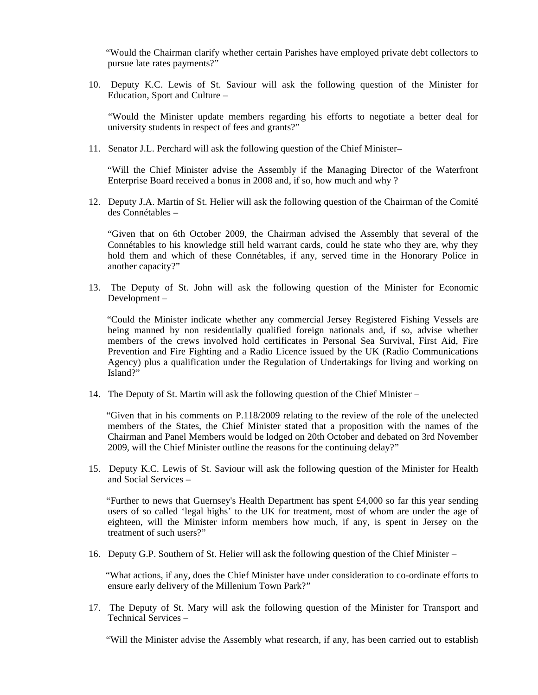"Would the Chairman clarify whether certain Parishes have employed private debt collectors to pursue late rates payments?"

10. Deputy K.C. Lewis of St. Saviour will ask the following question of the Minister for Education, Sport and Culture –

 "Would the Minister update members regarding his efforts to negotiate a better deal for university students in respect of fees and grants?"

11. Senator J.L. Perchard will ask the following question of the Chief Minister–

 "Will the Chief Minister advise the Assembly if the Managing Director of the Waterfront Enterprise Board received a bonus in 2008 and, if so, how much and why ?

12. Deputy J.A. Martin of St. Helier will ask the following question of the Chairman of the Comité des Connétables –

 "Given that on 6th October 2009, the Chairman advised the Assembly that several of the Connétables to his knowledge still held warrant cards, could he state who they are, why they hold them and which of these Connétables, if any, served time in the Honorary Police in another capacity?"

13. The Deputy of St. John will ask the following question of the Minister for Economic Development –

 "Could the Minister indicate whether any commercial Jersey Registered Fishing Vessels are being manned by non residentially qualified foreign nationals and, if so, advise whether members of the crews involved hold certificates in Personal Sea Survival, First Aid, Fire Prevention and Fire Fighting and a Radio Licence issued by the UK (Radio Communications Agency) plus a qualification under the Regulation of Undertakings for living and working on Island?"

14. The Deputy of St. Martin will ask the following question of the Chief Minister –

 "Given that in his comments on P.118/2009 relating to the review of the role of the unelected members of the States, the Chief Minister stated that a proposition with the names of the Chairman and Panel Members would be lodged on 20th October and debated on 3rd November 2009, will the Chief Minister outline the reasons for the continuing delay?"

15. Deputy K.C. Lewis of St. Saviour will ask the following question of the Minister for Health and Social Services –

"Further to news that Guernsey's Health Department has spent  $\text{\pounds}4,000$  so far this year sending users of so called 'legal highs' to the UK for treatment, most of whom are under the age of eighteen, will the Minister inform members how much, if any, is spent in Jersey on the treatment of such users?"

16. Deputy G.P. Southern of St. Helier will ask the following question of the Chief Minister –

 "What actions, if any, does the Chief Minister have under consideration to co-ordinate efforts to ensure early delivery of the Millenium Town Park?"

17. The Deputy of St. Mary will ask the following question of the Minister for Transport and Technical Services –

"Will the Minister advise the Assembly what research, if any, has been carried out to establish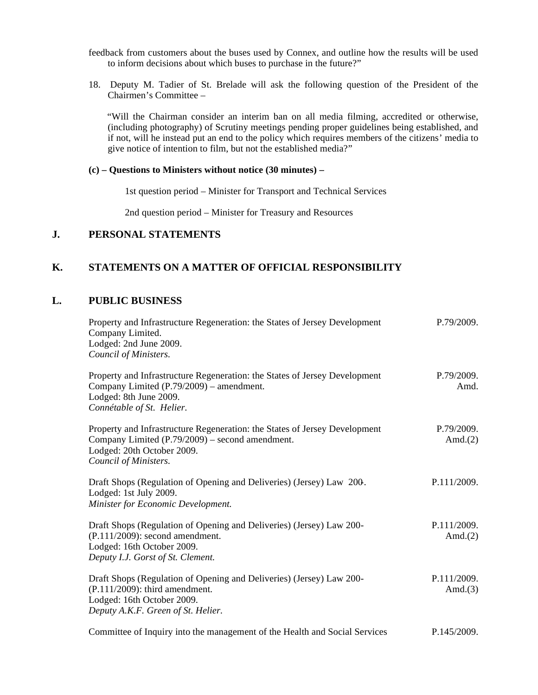feedback from customers about the buses used by Connex, and outline how the results will be used to inform decisions about which buses to purchase in the future?"

18. Deputy M. Tadier of St. Brelade will ask the following question of the President of the Chairmen's Committee –

 "Will the Chairman consider an interim ban on all media filming, accredited or otherwise, (including photography) of Scrutiny meetings pending proper guidelines being established, and if not, will he instead put an end to the policy which requires members of the citizens' media to give notice of intention to film, but not the established media?"

#### **(c) – Questions to Ministers without notice (30 minutes) –**

1st question period – Minister for Transport and Technical Services

2nd question period – Minister for Treasury and Resources

#### **J. PERSONAL STATEMENTS**

#### **K. STATEMENTS ON A MATTER OF OFFICIAL RESPONSIBILITY**

#### **L. PUBLIC BUSINESS**

| Property and Infrastructure Regeneration: the States of Jersey Development<br>Company Limited.<br>Lodged: 2nd June 2009.<br>Council of Ministers.                                    | P.79/2009.                |
|--------------------------------------------------------------------------------------------------------------------------------------------------------------------------------------|---------------------------|
| Property and Infrastructure Regeneration: the States of Jersey Development<br>Company Limited (P.79/2009) – amendment.<br>Lodged: 8th June 2009.<br>Connétable of St. Helier.        | P.79/2009.<br>Amd.        |
| Property and Infrastructure Regeneration: the States of Jersey Development<br>Company Limited (P.79/2009) – second amendment.<br>Lodged: 20th October 2009.<br>Council of Ministers. | P.79/2009.<br>Amd. $(2)$  |
| Draft Shops (Regulation of Opening and Deliveries) (Jersey) Law 200.<br>Lodged: 1st July 2009.<br>Minister for Economic Development.                                                 | P.111/2009.               |
| Draft Shops (Regulation of Opening and Deliveries) (Jersey) Law 200-<br>$(P.111/2009)$ : second amendment.<br>Lodged: 16th October 2009.<br>Deputy I.J. Gorst of St. Clement.        | P.111/2009.<br>Amd. $(2)$ |
| Draft Shops (Regulation of Opening and Deliveries) (Jersey) Law 200-<br>$(P.111/2009)$ : third amendment.<br>Lodged: 16th October 2009.<br>Deputy A.K.F. Green of St. Helier.        | P.111/2009.<br>Amd. $(3)$ |
| Committee of Inquiry into the management of the Health and Social Services                                                                                                           | P.145/2009.               |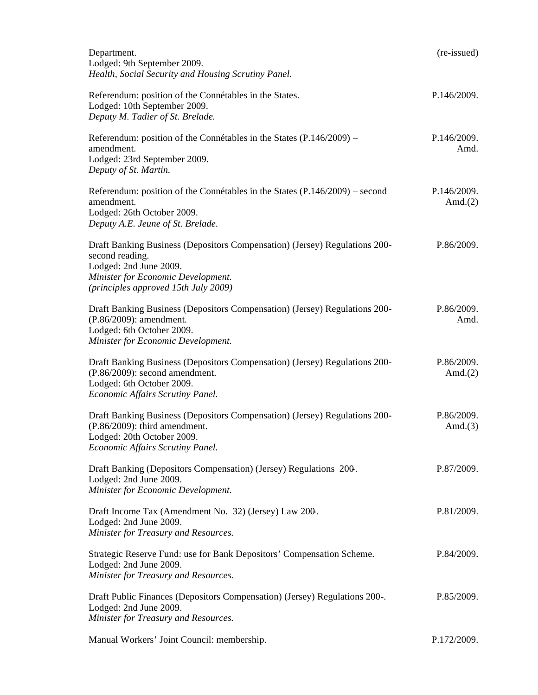| Department.<br>Lodged: 9th September 2009.<br>Health, Social Security and Housing Scrutiny Panel.                                                                                                     | (re-issued)               |
|-------------------------------------------------------------------------------------------------------------------------------------------------------------------------------------------------------|---------------------------|
| Referendum: position of the Connétables in the States.<br>Lodged: 10th September 2009.<br>Deputy M. Tadier of St. Brelade.                                                                            | P.146/2009.               |
| Referendum: position of the Connétables in the States $(P.146/2009)$ –<br>amendment.<br>Lodged: 23rd September 2009.<br>Deputy of St. Martin.                                                         | P.146/2009.<br>Amd.       |
| Referendum: position of the Connétables in the States (P.146/2009) – second<br>amendment.<br>Lodged: 26th October 2009.<br>Deputy A.E. Jeune of St. Brelade.                                          | P.146/2009.<br>Amd. $(2)$ |
| Draft Banking Business (Depositors Compensation) (Jersey) Regulations 200-<br>second reading.<br>Lodged: 2nd June 2009.<br>Minister for Economic Development.<br>(principles approved 15th July 2009) | P.86/2009.                |
| Draft Banking Business (Depositors Compensation) (Jersey) Regulations 200-<br>(P.86/2009): amendment.<br>Lodged: 6th October 2009.<br>Minister for Economic Development.                              | P.86/2009.<br>Amd.        |
| Draft Banking Business (Depositors Compensation) (Jersey) Regulations 200-<br>$(P.86/2009)$ : second amendment.<br>Lodged: 6th October 2009.<br>Economic Affairs Scrutiny Panel.                      | P.86/2009.<br>Amd. $(2)$  |
| Draft Banking Business (Depositors Compensation) (Jersey) Regulations 200-<br>$(P.86/2009)$ : third amendment.<br>Lodged: 20th October 2009.<br>Economic Affairs Scrutiny Panel.                      | P.86/2009.<br>Amd. $(3)$  |
| Draft Banking (Depositors Compensation) (Jersey) Regulations 200.<br>Lodged: 2nd June 2009.<br>Minister for Economic Development.                                                                     | P.87/2009.                |
| Draft Income Tax (Amendment No. 32) (Jersey) Law 200.<br>Lodged: 2nd June 2009.<br>Minister for Treasury and Resources.                                                                               | P.81/2009.                |
| Strategic Reserve Fund: use for Bank Depositors' Compensation Scheme.<br>Lodged: 2nd June 2009.<br>Minister for Treasury and Resources.                                                               | P.84/2009.                |
| Draft Public Finances (Depositors Compensation) (Jersey) Regulations 200-.<br>Lodged: 2nd June 2009.<br>Minister for Treasury and Resources.                                                          | P.85/2009.                |
| Manual Workers' Joint Council: membership.                                                                                                                                                            | P.172/2009.               |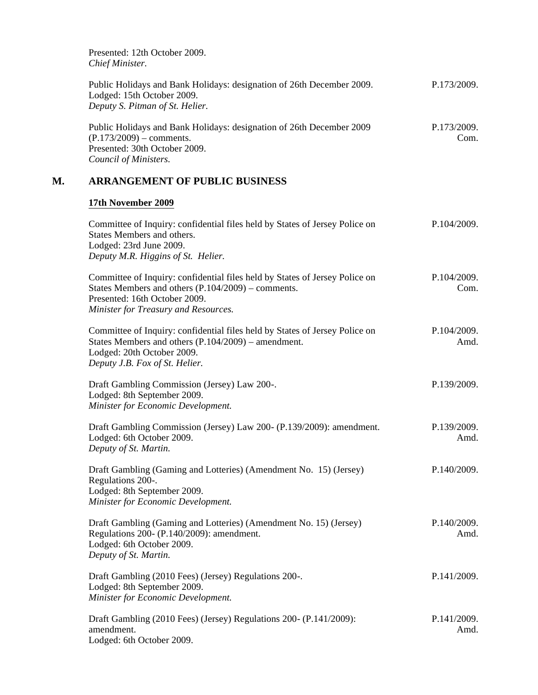Presented: 12th October 2009. *Chief Minister.*

| Public Holidays and Bank Holidays: designation of 26th December 2009. | P.173/2009. |
|-----------------------------------------------------------------------|-------------|
| Lodged: 15th October 2009.                                            |             |
| Deputy S. Pitman of St. Helier.                                       |             |
|                                                                       |             |

Public Holidays and Bank Holidays: designation of 26th December 2009  $(P.173/2009)$  – comments. Presented: 30th October 2009. *Council of Ministers.* P.173/2009. Com.

# **M. ARRANGEMENT OF PUBLIC BUSINESS**

#### **17th November 2009**

| Committee of Inquiry: confidential files held by States of Jersey Police on<br>States Members and others.<br>Lodged: 23rd June 2009.<br>Deputy M.R. Higgins of St. Helier.                                   | P.104/2009.         |
|--------------------------------------------------------------------------------------------------------------------------------------------------------------------------------------------------------------|---------------------|
| Committee of Inquiry: confidential files held by States of Jersey Police on<br>States Members and others $(P.104/2009)$ – comments.<br>Presented: 16th October 2009.<br>Minister for Treasury and Resources. | P.104/2009.<br>Com. |
| Committee of Inquiry: confidential files held by States of Jersey Police on<br>States Members and others $(P.104/2009)$ – amendment.<br>Lodged: 20th October 2009.<br>Deputy J.B. Fox of St. Helier.         | P.104/2009.<br>Amd. |
| Draft Gambling Commission (Jersey) Law 200-.<br>Lodged: 8th September 2009.<br>Minister for Economic Development.                                                                                            | P.139/2009.         |
| Draft Gambling Commission (Jersey) Law 200- (P.139/2009): amendment.<br>Lodged: 6th October 2009.<br>Deputy of St. Martin.                                                                                   | P.139/2009.<br>Amd. |
| Draft Gambling (Gaming and Lotteries) (Amendment No. 15) (Jersey)<br>Regulations 200-.<br>Lodged: 8th September 2009.<br>Minister for Economic Development.                                                  | P.140/2009.         |
| Draft Gambling (Gaming and Lotteries) (Amendment No. 15) (Jersey)<br>Regulations 200- (P.140/2009): amendment.<br>Lodged: 6th October 2009.<br>Deputy of St. Martin.                                         | P.140/2009.<br>Amd. |
| Draft Gambling (2010 Fees) (Jersey) Regulations 200-.<br>Lodged: 8th September 2009.<br>Minister for Economic Development.                                                                                   | P.141/2009.         |
| Draft Gambling (2010 Fees) (Jersey) Regulations 200- (P.141/2009):<br>amendment.<br>Lodged: 6th October 2009.                                                                                                | P.141/2009.<br>Amd. |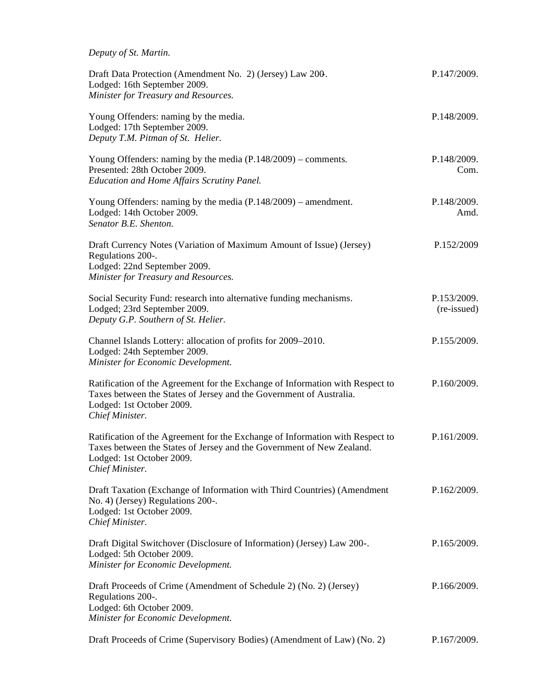| Deputy of St. Martin.                                                                                                                                                                                  |                            |
|--------------------------------------------------------------------------------------------------------------------------------------------------------------------------------------------------------|----------------------------|
| Draft Data Protection (Amendment No. 2) (Jersey) Law 200.<br>Lodged: 16th September 2009.<br>Minister for Treasury and Resources.                                                                      | P.147/2009.                |
| Young Offenders: naming by the media.<br>Lodged: 17th September 2009.<br>Deputy T.M. Pitman of St. Helier.                                                                                             | P.148/2009.                |
| Young Offenders: naming by the media $(P.148/2009)$ – comments.<br>Presented: 28th October 2009.<br>Education and Home Affairs Scrutiny Panel.                                                         | P.148/2009.<br>Com.        |
| Young Offenders: naming by the media $(P.148/2009)$ – amendment.<br>Lodged: 14th October 2009.<br>Senator B.E. Shenton.                                                                                | P.148/2009.<br>Amd.        |
| Draft Currency Notes (Variation of Maximum Amount of Issue) (Jersey)<br>Regulations 200-.<br>Lodged: 22nd September 2009.<br>Minister for Treasury and Resources.                                      | P.152/2009                 |
| Social Security Fund: research into alternative funding mechanisms.<br>Lodged; 23rd September 2009.<br>Deputy G.P. Southern of St. Helier.                                                             | P.153/2009.<br>(re-issued) |
| Channel Islands Lottery: allocation of profits for 2009–2010.<br>Lodged: 24th September 2009.<br>Minister for Economic Development.                                                                    | P.155/2009.                |
| Ratification of the Agreement for the Exchange of Information with Respect to<br>Taxes between the States of Jersey and the Government of Australia.<br>Lodged: 1st October 2009.<br>Chief Minister.   | P.160/2009.                |
| Ratification of the Agreement for the Exchange of Information with Respect to<br>Taxes between the States of Jersey and the Government of New Zealand.<br>Lodged: 1st October 2009.<br>Chief Minister. | P.161/2009.                |
| Draft Taxation (Exchange of Information with Third Countries) (Amendment<br>No. 4) (Jersey) Regulations 200-.<br>Lodged: 1st October 2009.<br>Chief Minister.                                          | P.162/2009.                |
| Draft Digital Switchover (Disclosure of Information) (Jersey) Law 200-.<br>Lodged: 5th October 2009.<br>Minister for Economic Development.                                                             | P.165/2009.                |
| Draft Proceeds of Crime (Amendment of Schedule 2) (No. 2) (Jersey)<br>Regulations 200-.<br>Lodged: 6th October 2009.<br>Minister for Economic Development.                                             | P.166/2009.                |
| Draft Proceeds of Crime (Supervisory Bodies) (Amendment of Law) (No. 2)                                                                                                                                | P.167/2009.                |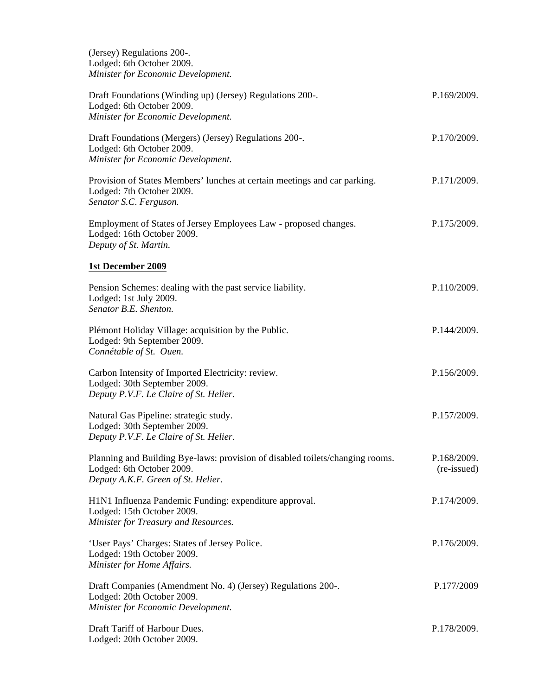(Jersey) Regulations 200-. Lodged: 6th October 2009. *Minister for Economic Development.*

| Draft Foundations (Winding up) (Jersey) Regulations 200-.<br>Lodged: 6th October 2009.<br>Minister for Economic Development.                     | P.169/2009.                |
|--------------------------------------------------------------------------------------------------------------------------------------------------|----------------------------|
| Draft Foundations (Mergers) (Jersey) Regulations 200-.<br>Lodged: 6th October 2009.<br>Minister for Economic Development.                        | P.170/2009.                |
| Provision of States Members' lunches at certain meetings and car parking.<br>Lodged: 7th October 2009.<br>Senator S.C. Ferguson.                 | P.171/2009.                |
| Employment of States of Jersey Employees Law - proposed changes.<br>Lodged: 16th October 2009.<br>Deputy of St. Martin.                          | P.175/2009.                |
| 1st December 2009                                                                                                                                |                            |
| Pension Schemes: dealing with the past service liability.<br>Lodged: 1st July 2009.<br>Senator B.E. Shenton.                                     | P.110/2009.                |
| Plémont Holiday Village: acquisition by the Public.<br>Lodged: 9th September 2009.<br>Connétable of St. Ouen.                                    | P.144/2009.                |
| Carbon Intensity of Imported Electricity: review.<br>Lodged: 30th September 2009.<br>Deputy P.V.F. Le Claire of St. Helier.                      | P.156/2009.                |
| Natural Gas Pipeline: strategic study.<br>Lodged: 30th September 2009.<br>Deputy P.V.F. Le Claire of St. Helier.                                 | P.157/2009.                |
| Planning and Building Bye-laws: provision of disabled toilets/changing rooms.<br>Lodged: 6th October 2009.<br>Deputy A.K.F. Green of St. Helier. | P.168/2009.<br>(re-issued) |
| H1N1 Influenza Pandemic Funding: expenditure approval.<br>Lodged: 15th October 2009.<br>Minister for Treasury and Resources.                     | P.174/2009.                |
| 'User Pays' Charges: States of Jersey Police.<br>Lodged: 19th October 2009.<br>Minister for Home Affairs.                                        | P.176/2009.                |
| Draft Companies (Amendment No. 4) (Jersey) Regulations 200-.<br>Lodged: 20th October 2009.<br>Minister for Economic Development.                 | P.177/2009                 |
| Draft Tariff of Harbour Dues.<br>Lodged: 20th October 2009.                                                                                      | P.178/2009.                |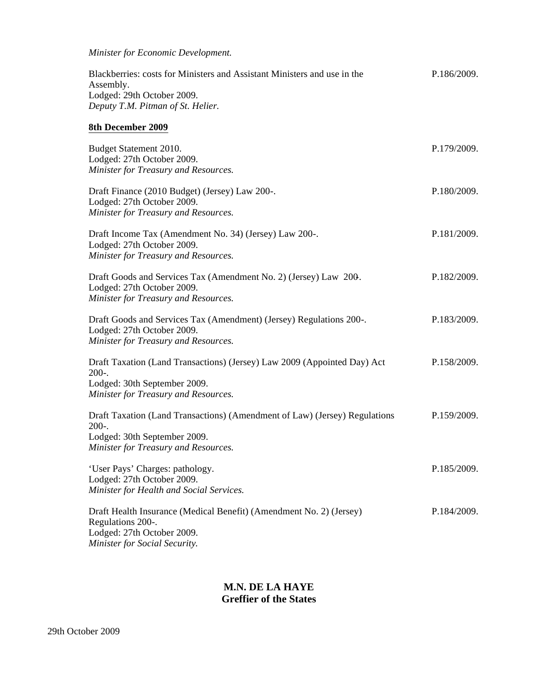*Minister for Economic Development.*

| Blackberries: costs for Ministers and Assistant Ministers and use in the | P.186/2009. |
|--------------------------------------------------------------------------|-------------|
| Assembly.                                                                |             |
| Lodged: 29th October 2009.                                               |             |
| Deputy T.M. Pitman of St. Helier.                                        |             |
|                                                                          |             |

# **8th December 2009**

| Budget Statement 2010.<br>Lodged: 27th October 2009.<br>Minister for Treasury and Resources.                                                                  | P.179/2009. |
|---------------------------------------------------------------------------------------------------------------------------------------------------------------|-------------|
| Draft Finance (2010 Budget) (Jersey) Law 200-.<br>Lodged: 27th October 2009.<br>Minister for Treasury and Resources.                                          | P.180/2009. |
| Draft Income Tax (Amendment No. 34) (Jersey) Law 200-.<br>Lodged: 27th October 2009.<br>Minister for Treasury and Resources.                                  | P.181/2009. |
| Draft Goods and Services Tax (Amendment No. 2) (Jersey) Law 200.<br>Lodged: 27th October 2009.<br>Minister for Treasury and Resources.                        | P.182/2009. |
| Draft Goods and Services Tax (Amendment) (Jersey) Regulations 200-.<br>Lodged: 27th October 2009.<br>Minister for Treasury and Resources.                     | P.183/2009. |
| Draft Taxation (Land Transactions) (Jersey) Law 2009 (Appointed Day) Act<br>$200-.$<br>Lodged: 30th September 2009.<br>Minister for Treasury and Resources.   | P.158/2009. |
| Draft Taxation (Land Transactions) (Amendment of Law) (Jersey) Regulations<br>$200-.$<br>Lodged: 30th September 2009.<br>Minister for Treasury and Resources. | P.159/2009. |
| 'User Pays' Charges: pathology.<br>Lodged: 27th October 2009.<br>Minister for Health and Social Services.                                                     | P.185/2009. |
| Draft Health Insurance (Medical Benefit) (Amendment No. 2) (Jersey)<br>Regulations 200-.<br>Lodged: 27th October 2009.<br>Minister for Social Security.       | P.184/2009. |

### **M.N. DE LA HAYE Greffier of the States**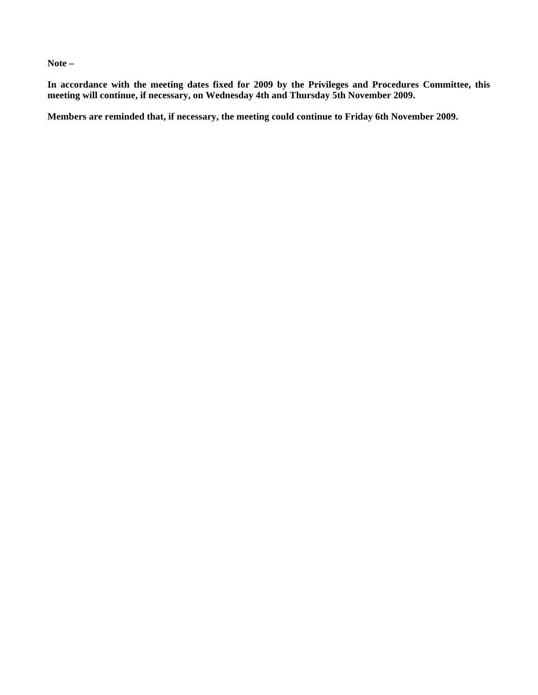**Note –**

**In accordance with the meeting dates fixed for 2009 by the Privileges and Procedures Committee, this meeting will continue, if necessary, on Wednesday 4th and Thursday 5th November 2009.**

**Members are reminded that, if necessary, the meeting could continue to Friday 6th November 2009.**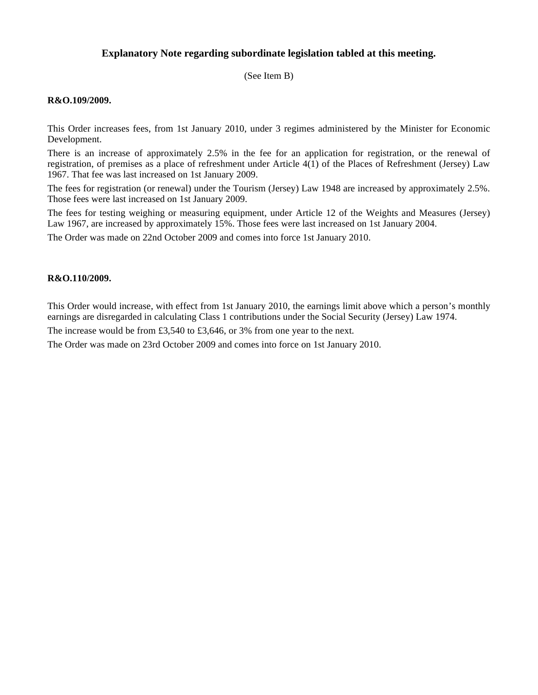#### **Explanatory Note regarding subordinate legislation tabled at this meeting.**

(See Item B)

#### **R&O.109/2009.**

This Order increases fees, from 1st January 2010, under 3 regimes administered by the Minister for Economic Development.

There is an increase of approximately 2.5% in the fee for an application for registration, or the renewal of registration, of premises as a place of refreshment under Article 4(1) of the Places of Refreshment (Jersey) Law 1967. That fee was last increased on 1st January 2009.

The fees for registration (or renewal) under the Tourism (Jersey) Law 1948 are increased by approximately 2.5%. Those fees were last increased on 1st January 2009.

The fees for testing weighing or measuring equipment, under Article 12 of the Weights and Measures (Jersey) Law 1967, are increased by approximately 15%. Those fees were last increased on 1st January 2004.

The Order was made on 22nd October 2009 and comes into force 1st January 2010.

#### **R&O.110/2009.**

This Order would increase, with effect from 1st January 2010, the earnings limit above which a person's monthly earnings are disregarded in calculating Class 1 contributions under the Social Security (Jersey) Law 1974.

The increase would be from £3,540 to £3,646, or 3% from one year to the next.

The Order was made on 23rd October 2009 and comes into force on 1st January 2010.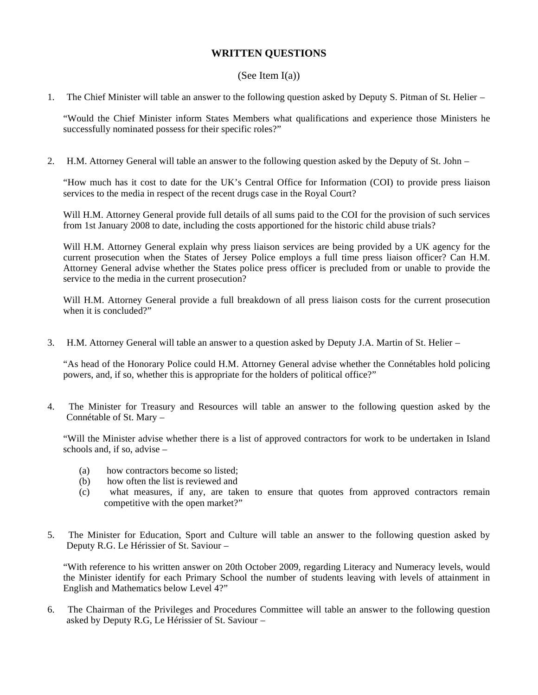### **WRITTEN QUESTIONS**

#### (See Item  $I(a)$ )

1. The Chief Minister will table an answer to the following question asked by Deputy S. Pitman of St. Helier –

"Would the Chief Minister inform States Members what qualifications and experience those Ministers he successfully nominated possess for their specific roles?"

2. H.M. Attorney General will table an answer to the following question asked by the Deputy of St. John –

"How much has it cost to date for the UK's Central Office for Information (COI) to provide press liaison services to the media in respect of the recent drugs case in the Royal Court?

Will H.M. Attorney General provide full details of all sums paid to the COI for the provision of such services from 1st January 2008 to date, including the costs apportioned for the historic child abuse trials?

Will H.M. Attorney General explain why press liaison services are being provided by a UK agency for the current prosecution when the States of Jersey Police employs a full time press liaison officer? Can H.M. Attorney General advise whether the States police press officer is precluded from or unable to provide the service to the media in the current prosecution?

Will H.M. Attorney General provide a full breakdown of all press liaison costs for the current prosecution when it is concluded?"

3. H.M. Attorney General will table an answer to a question asked by Deputy J.A. Martin of St. Helier –

"As head of the Honorary Police could H.M. Attorney General advise whether the Connétables hold policing powers, and, if so, whether this is appropriate for the holders of political office?"

4. The Minister for Treasury and Resources will table an answer to the following question asked by the Connétable of St. Mary –

"Will the Minister advise whether there is a list of approved contractors for work to be undertaken in Island schools and, if so, advise –

- (a) how contractors become so listed;
- (b) how often the list is reviewed and
- (c) what measures, if any, are taken to ensure that quotes from approved contractors remain competitive with the open market?"
- 5. The Minister for Education, Sport and Culture will table an answer to the following question asked by Deputy R.G. Le Hérissier of St. Saviour –

"With reference to his written answer on 20th October 2009, regarding Literacy and Numeracy levels, would the Minister identify for each Primary School the number of students leaving with levels of attainment in English and Mathematics below Level 4?"

6. The Chairman of the Privileges and Procedures Committee will table an answer to the following question asked by Deputy R.G, Le Hérissier of St. Saviour –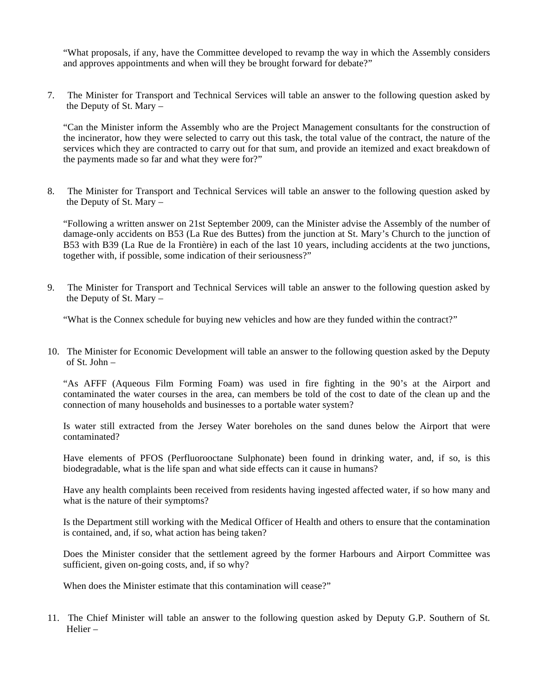"What proposals, if any, have the Committee developed to revamp the way in which the Assembly considers and approves appointments and when will they be brought forward for debate?"

7. The Minister for Transport and Technical Services will table an answer to the following question asked by the Deputy of St. Mary –

"Can the Minister inform the Assembly who are the Project Management consultants for the construction of the incinerator, how they were selected to carry out this task, the total value of the contract, the nature of the services which they are contracted to carry out for that sum, and provide an itemized and exact breakdown of the payments made so far and what they were for?"

8. The Minister for Transport and Technical Services will table an answer to the following question asked by the Deputy of St. Mary –

"Following a written answer on 21st September 2009, can the Minister advise the Assembly of the number of damage-only accidents on B53 (La Rue des Buttes) from the junction at St. Mary's Church to the junction of B53 with B39 (La Rue de la Frontière) in each of the last 10 years, including accidents at the two junctions, together with, if possible, some indication of their seriousness?"

9. The Minister for Transport and Technical Services will table an answer to the following question asked by the Deputy of St. Mary –

"What is the Connex schedule for buying new vehicles and how are they funded within the contract?"

10. The Minister for Economic Development will table an answer to the following question asked by the Deputy of St. John –

"As AFFF (Aqueous Film Forming Foam) was used in fire fighting in the 90's at the Airport and contaminated the water courses in the area, can members be told of the cost to date of the clean up and the connection of many households and businesses to a portable water system?

Is water still extracted from the Jersey Water boreholes on the sand dunes below the Airport that were contaminated?

Have elements of PFOS (Perfluorooctane Sulphonate) been found in drinking water, and, if so, is this biodegradable, what is the life span and what side effects can it cause in humans?

Have any health complaints been received from residents having ingested affected water, if so how many and what is the nature of their symptoms?

Is the Department still working with the Medical Officer of Health and others to ensure that the contamination is contained, and, if so, what action has being taken?

Does the Minister consider that the settlement agreed by the former Harbours and Airport Committee was sufficient, given on-going costs, and, if so why?

When does the Minister estimate that this contamination will cease?"

11. The Chief Minister will table an answer to the following question asked by Deputy G.P. Southern of St. Helier –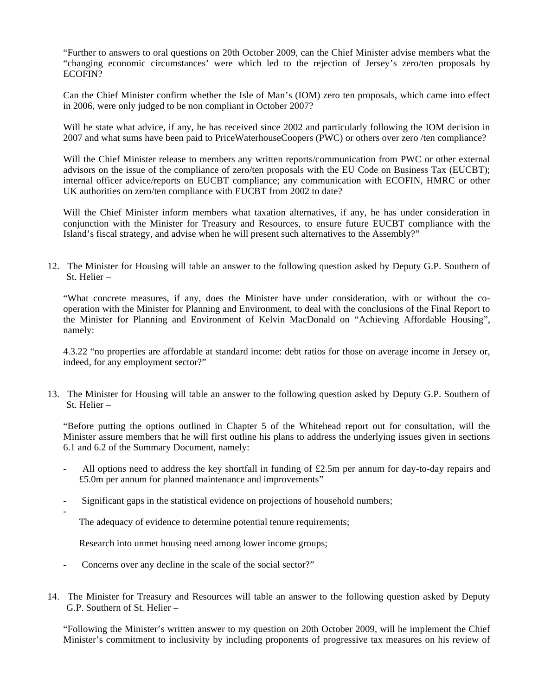"Further to answers to oral questions on 20th October 2009, can the Chief Minister advise members what the "changing economic circumstances' were which led to the rejection of Jersey's zero/ten proposals by ECOFIN?

Can the Chief Minister confirm whether the Isle of Man's (IOM) zero ten proposals, which came into effect in 2006, were only judged to be non compliant in October 2007?

Will he state what advice, if any, he has received since 2002 and particularly following the IOM decision in 2007 and what sums have been paid to PriceWaterhouseCoopers (PWC) or others over zero /ten compliance?

Will the Chief Minister release to members any written reports/communication from PWC or other external advisors on the issue of the compliance of zero/ten proposals with the EU Code on Business Tax (EUCBT); internal officer advice/reports on EUCBT compliance; any communication with ECOFIN, HMRC or other UK authorities on zero/ten compliance with EUCBT from 2002 to date?

Will the Chief Minister inform members what taxation alternatives, if any, he has under consideration in conjunction with the Minister for Treasury and Resources, to ensure future EUCBT compliance with the Island's fiscal strategy, and advise when he will present such alternatives to the Assembly?"

12. The Minister for Housing will table an answer to the following question asked by Deputy G.P. Southern of St. Helier –

"What concrete measures, if any, does the Minister have under consideration, with or without the cooperation with the Minister for Planning and Environment, to deal with the conclusions of the Final Report to the Minister for Planning and Environment of Kelvin MacDonald on "Achieving Affordable Housing", namely:

4.3.22 "no properties are affordable at standard income: debt ratios for those on average income in Jersey or, indeed, for any employment sector?"

13. The Minister for Housing will table an answer to the following question asked by Deputy G.P. Southern of St. Helier –

"Before putting the options outlined in Chapter 5 of the Whitehead report out for consultation, will the Minister assure members that he will first outline his plans to address the underlying issues given in sections 6.1 and 6.2 of the Summary Document, namely:

- All options need to address the key shortfall in funding of £2.5m per annum for day-to-day repairs and £5.0m per annum for planned maintenance and improvements"
- Significant gaps in the statistical evidence on projections of household numbers;
	- The adequacy of evidence to determine potential tenure requirements;

Research into unmet housing need among lower income groups;

Concerns over any decline in the scale of the social sector?"

-

14. The Minister for Treasury and Resources will table an answer to the following question asked by Deputy G.P. Southern of St. Helier –

"Following the Minister's written answer to my question on 20th October 2009, will he implement the Chief Minister's commitment to inclusivity by including proponents of progressive tax measures on his review of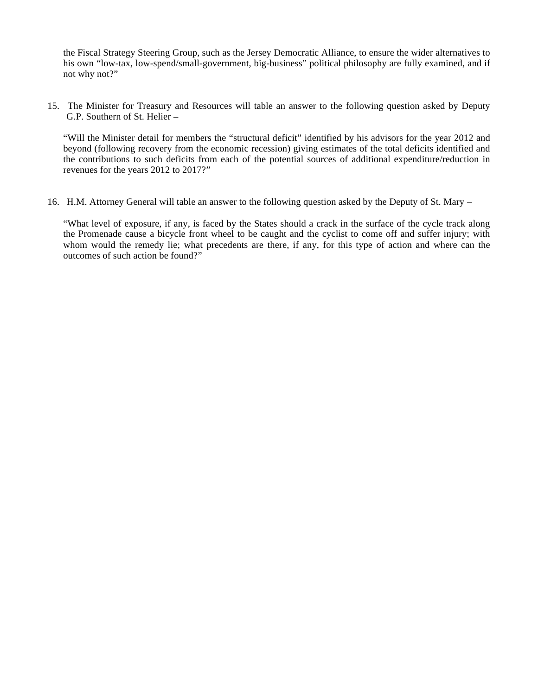the Fiscal Strategy Steering Group, such as the Jersey Democratic Alliance, to ensure the wider alternatives to his own "low-tax, low-spend/small-government, big-business" political philosophy are fully examined, and if not why not?"

15. The Minister for Treasury and Resources will table an answer to the following question asked by Deputy G.P. Southern of St. Helier –

"Will the Minister detail for members the "structural deficit" identified by his advisors for the year 2012 and beyond (following recovery from the economic recession) giving estimates of the total deficits identified and the contributions to such deficits from each of the potential sources of additional expenditure/reduction in revenues for the years 2012 to 2017?"

16. H.M. Attorney General will table an answer to the following question asked by the Deputy of St. Mary –

"What level of exposure, if any, is faced by the States should a crack in the surface of the cycle track along the Promenade cause a bicycle front wheel to be caught and the cyclist to come off and suffer injury; with whom would the remedy lie; what precedents are there, if any, for this type of action and where can the outcomes of such action be found?"